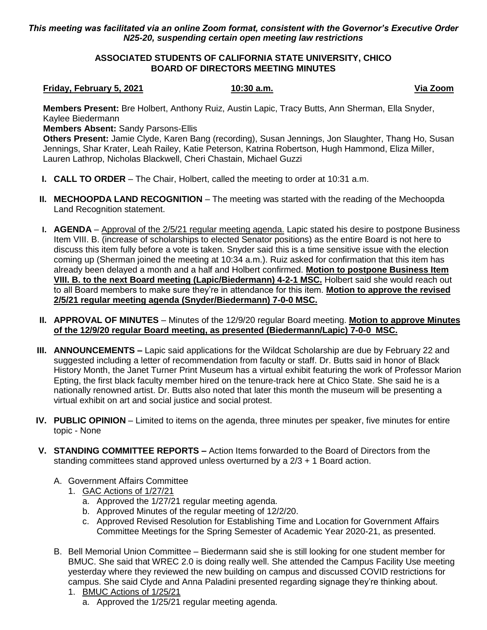## *This meeting was facilitated via an online Zoom format, consistent with the Governor's Executive Order N25-20, suspending certain open meeting law restrictions*

### **ASSOCIATED STUDENTS OF CALIFORNIA STATE UNIVERSITY, CHICO BOARD OF DIRECTORS MEETING MINUTES**

## **Friday, February 5, 2021 10:30 a.m. Via Zoom**

**Members Present:** Bre Holbert, Anthony Ruiz, Austin Lapic, Tracy Butts, Ann Sherman, Ella Snyder, Kaylee Biedermann

**Members Absent:** Sandy Parsons-Ellis

**Others Present:** Jamie Clyde, Karen Bang (recording), Susan Jennings, Jon Slaughter, Thang Ho, Susan Jennings, Shar Krater, Leah Railey, Katie Peterson, Katrina Robertson, Hugh Hammond, Eliza Miller, Lauren Lathrop, Nicholas Blackwell, Cheri Chastain, Michael Guzzi

- **I. CALL TO ORDER** The Chair, Holbert, called the meeting to order at 10:31 a.m.
- **II. MECHOOPDA LAND RECOGNITION** The meeting was started with the reading of the Mechoopda Land Recognition statement.
- **I. AGENDA** Approval of the 2/5/21 regular meeting agenda. Lapic stated his desire to postpone Business Item VIII. B. (increase of scholarships to elected Senator positions) as the entire Board is not here to discuss this item fully before a vote is taken. Snyder said this is a time sensitive issue with the election coming up (Sherman joined the meeting at 10:34 a.m.). Ruiz asked for confirmation that this item has already been delayed a month and a half and Holbert confirmed. **Motion to postpone Business Item VIII. B. to the next Board meeting (Lapic/Biedermann) 4-2-1 MSC.** Holbert said she would reach out to all Board members to make sure they're in attendance for this item. **Motion to approve the revised 2/5/21 regular meeting agenda (Snyder/Biedermann) 7-0-0 MSC.**
- **II. APPROVAL OF MINUTES** Minutes of the 12/9/20 regular Board meeting. **Motion to approve Minutes of the 12/9/20 regular Board meeting, as presented (Biedermann/Lapic) 7-0-0 MSC.**
- **III. ANNOUNCEMENTS Lapic said applications for the Wildcat Scholarship are due by February 22 and** suggested including a letter of recommendation from faculty or staff. Dr. Butts said in honor of Black History Month, the Janet Turner Print Museum has a virtual exhibit featuring the work of Professor Marion Epting, the first black faculty member hired on the tenure-track here at Chico State. She said he is a nationally renowned artist. Dr. Butts also noted that later this month the museum will be presenting a virtual exhibit on art and social justice and social protest.
- **IV. PUBLIC OPINION** Limited to items on the agenda, three minutes per speaker, five minutes for entire topic - None
- **V. STANDING COMMITTEE REPORTS –** Action Items forwarded to the Board of Directors from the standing committees stand approved unless overturned by a 2/3 + 1 Board action.
	- A. Government Affairs Committee
		- 1. GAC Actions of 1/27/21
			- a. Approved the 1/27/21 regular meeting agenda.
			- b. Approved Minutes of the regular meeting of 12/2/20.
			- c. Approved Revised Resolution for Establishing Time and Location for Government Affairs Committee Meetings for the Spring Semester of Academic Year 2020-21, as presented.
	- B. Bell Memorial Union Committee Biedermann said she is still looking for one student member for BMUC. She said that WREC 2.0 is doing really well. She attended the Campus Facility Use meeting yesterday where they reviewed the new building on campus and discussed COVID restrictions for campus. She said Clyde and Anna Paladini presented regarding signage they're thinking about. 1. BMUC Actions of 1/25/21
		- a. Approved the 1/25/21 regular meeting agenda.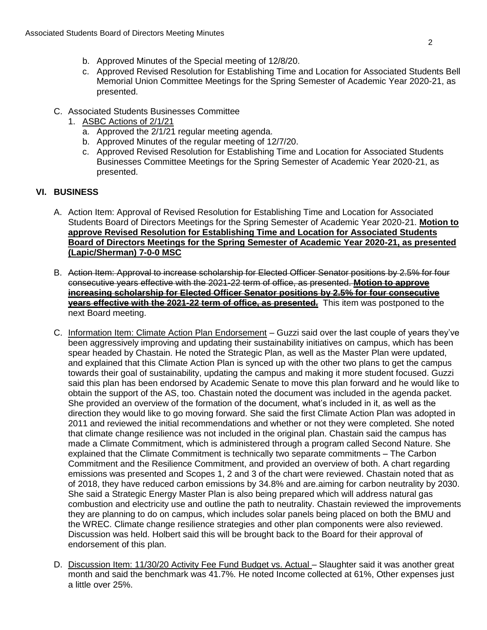- b. Approved Minutes of the Special meeting of 12/8/20.
- c. Approved Revised Resolution for Establishing Time and Location for Associated Students Bell Memorial Union Committee Meetings for the Spring Semester of Academic Year 2020-21, as presented.
- C. Associated Students Businesses Committee
	- 1. ASBC Actions of 2/1/21
		- a. Approved the 2/1/21 regular meeting agenda.
		- b. Approved Minutes of the regular meeting of 12/7/20.
		- c. Approved Revised Resolution for Establishing Time and Location for Associated Students Businesses Committee Meetings for the Spring Semester of Academic Year 2020-21, as presented.

## **VI. BUSINESS**

- A. Action Item: Approval of Revised Resolution for Establishing Time and Location for Associated Students Board of Directors Meetings for the Spring Semester of Academic Year 2020-21. **Motion to approve Revised Resolution for Establishing Time and Location for Associated Students Board of Directors Meetings for the Spring Semester of Academic Year 2020-21, as presented (Lapic/Sherman) 7-0-0 MSC**
- B. Action Item: Approval to increase scholarship for Elected Officer Senator positions by 2.5% for four consecutive years effective with the 2021-22 term of office, as presented. **Motion to approve increasing scholarship for Elected Officer Senator positions by 2.5% for four consecutive years effective with the 2021-22 term of office, as presented.** This item was postponed to the next Board meeting.
- C. Information Item: Climate Action Plan Endorsement Guzzi said over the last couple of years they've been aggressively improving and updating their sustainability initiatives on campus, which has been spear headed by Chastain. He noted the Strategic Plan, as well as the Master Plan were updated, and explained that this Climate Action Plan is synced up with the other two plans to get the campus towards their goal of sustainability, updating the campus and making it more student focused. Guzzi said this plan has been endorsed by Academic Senate to move this plan forward and he would like to obtain the support of the AS, too. Chastain noted the document was included in the agenda packet. She provided an overview of the formation of the document, what's included in it, as well as the direction they would like to go moving forward. She said the first Climate Action Plan was adopted in 2011 and reviewed the initial recommendations and whether or not they were completed. She noted that climate change resilience was not included in the original plan. Chastain said the campus has made a Climate Commitment, which is administered through a program called Second Nature. She explained that the Climate Commitment is technically two separate commitments – The Carbon Commitment and the Resilience Commitment, and provided an overview of both. A chart regarding emissions was presented and Scopes 1, 2 and 3 of the chart were reviewed. Chastain noted that as of 2018, they have reduced carbon emissions by 34.8% and are.aiming for carbon neutrality by 2030. She said a Strategic Energy Master Plan is also being prepared which will address natural gas combustion and electricity use and outline the path to neutrality. Chastain reviewed the improvements they are planning to do on campus, which includes solar panels being placed on both the BMU and the WREC. Climate change resilience strategies and other plan components were also reviewed. Discussion was held. Holbert said this will be brought back to the Board for their approval of endorsement of this plan.
- D. Discussion Item: 11/30/20 Activity Fee Fund Budget vs. Actual Slaughter said it was another great month and said the benchmark was 41.7%. He noted Income collected at 61%, Other expenses just a little over 25%.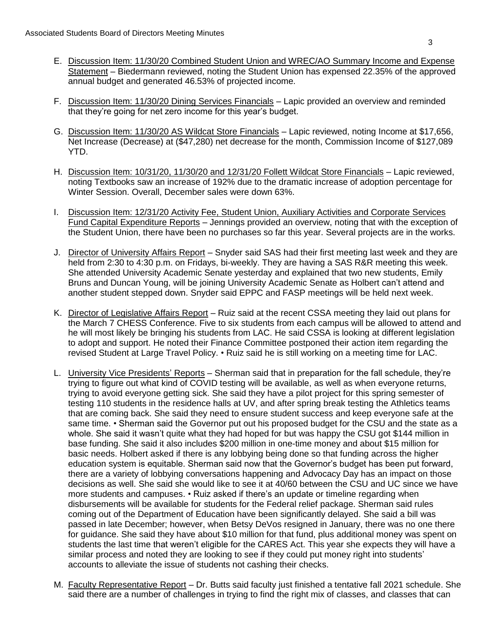- E. Discussion Item: 11/30/20 Combined Student Union and WREC/AO Summary Income and Expense Statement – Biedermann reviewed, noting the Student Union has expensed 22.35% of the approved annual budget and generated 46.53% of projected income.
- F. Discussion Item: 11/30/20 Dining Services Financials Lapic provided an overview and reminded that they're going for net zero income for this year's budget.
- G. Discussion Item: 11/30/20 AS Wildcat Store Financials Lapic reviewed, noting Income at \$17,656, Net Increase (Decrease) at (\$47,280) net decrease for the month, Commission Income of \$127,089 YTD.
- H. Discussion Item: 10/31/20, 11/30/20 and 12/31/20 Follett Wildcat Store Financials Lapic reviewed, noting Textbooks saw an increase of 192% due to the dramatic increase of adoption percentage for Winter Session. Overall, December sales were down 63%.
- I. Discussion Item: 12/31/20 Activity Fee, Student Union, Auxiliary Activities and Corporate Services Fund Capital Expenditure Reports – Jennings provided an overview, noting that with the exception of the Student Union, there have been no purchases so far this year. Several projects are in the works.
- J. Director of University Affairs Report Snyder said SAS had their first meeting last week and they are held from 2:30 to 4:30 p.m. on Fridays, bi-weekly. They are having a SAS R&R meeting this week. She attended University Academic Senate yesterday and explained that two new students, Emily Bruns and Duncan Young, will be joining University Academic Senate as Holbert can't attend and another student stepped down. Snyder said EPPC and FASP meetings will be held next week.
- K. Director of Legislative Affairs Report Ruiz said at the recent CSSA meeting they laid out plans for the March 7 CHESS Conference. Five to six students from each campus will be allowed to attend and he will most likely be bringing his students from LAC. He said CSSA is looking at different legislation to adopt and support. He noted their Finance Committee postponed their action item regarding the revised Student at Large Travel Policy. • Ruiz said he is still working on a meeting time for LAC.
- L. University Vice Presidents' Reports Sherman said that in preparation for the fall schedule, they're trying to figure out what kind of COVID testing will be available, as well as when everyone returns, trying to avoid everyone getting sick. She said they have a pilot project for this spring semester of testing 110 students in the residence halls at UV, and after spring break testing the Athletics teams that are coming back. She said they need to ensure student success and keep everyone safe at the same time. • Sherman said the Governor put out his proposed budget for the CSU and the state as a whole. She said it wasn't quite what they had hoped for but was happy the CSU got \$144 million in base funding. She said it also includes \$200 million in one-time money and about \$15 million for basic needs. Holbert asked if there is any lobbying being done so that funding across the higher education system is equitable. Sherman said now that the Governor's budget has been put forward, there are a variety of lobbying conversations happening and Advocacy Day has an impact on those decisions as well. She said she would like to see it at 40/60 between the CSU and UC since we have more students and campuses. • Ruiz asked if there's an update or timeline regarding when disbursements will be available for students for the Federal relief package. Sherman said rules coming out of the Department of Education have been significantly delayed. She said a bill was passed in late December; however, when Betsy DeVos resigned in January, there was no one there for guidance. She said they have about \$10 million for that fund, plus additional money was spent on students the last time that weren't eligible for the CARES Act. This year she expects they will have a similar process and noted they are looking to see if they could put money right into students' accounts to alleviate the issue of students not cashing their checks.
- M. Faculty Representative Report Dr. Butts said faculty just finished a tentative fall 2021 schedule. She said there are a number of challenges in trying to find the right mix of classes, and classes that can